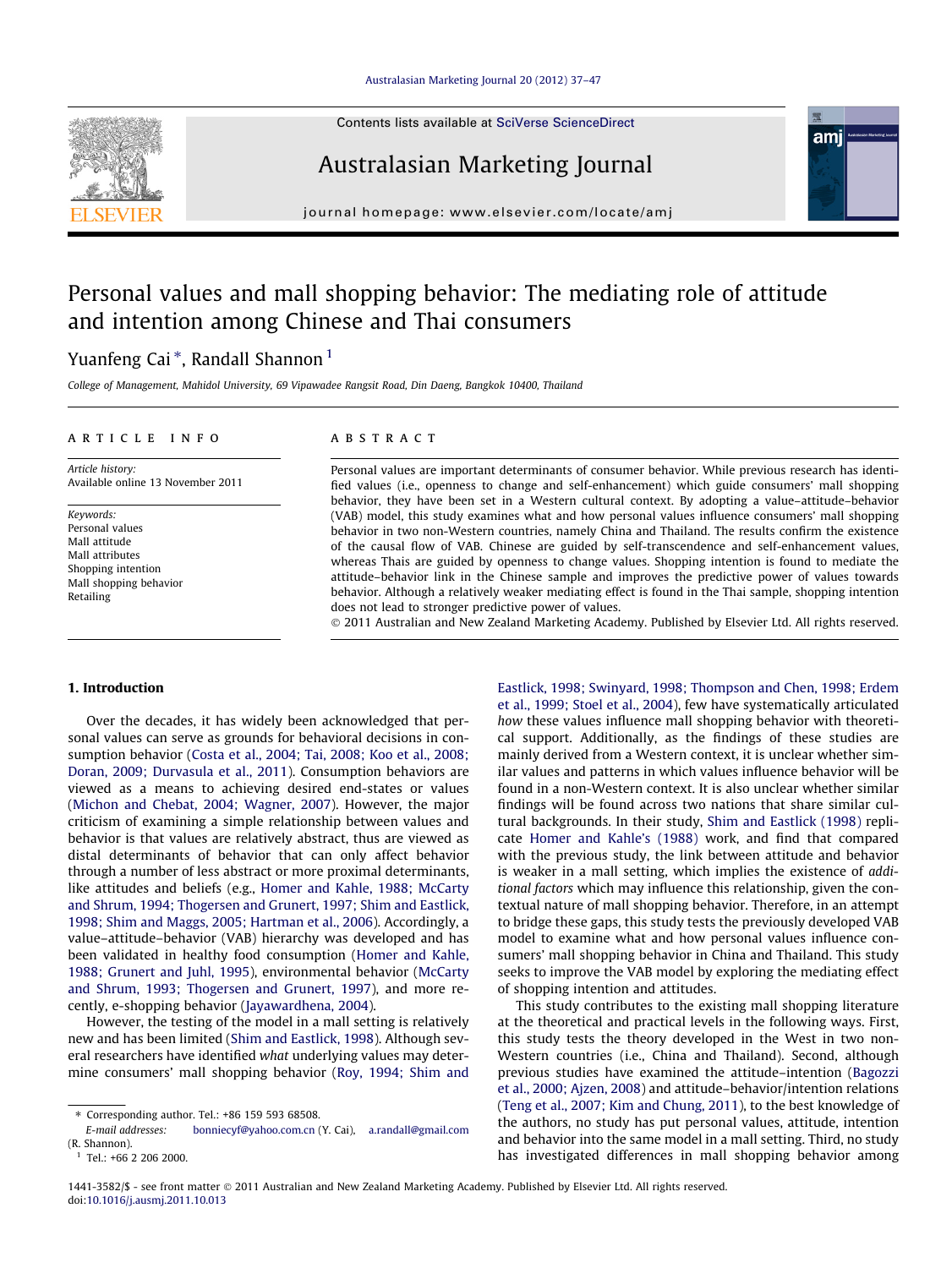#### [Australasian Marketing Journal 20 \(2012\) 37–47](http://dx.doi.org/10.1016/j.ausmj.2011.10.013)



Contents lists available at [SciVerse ScienceDirect](http://www.sciencedirect.com/science/journal/14413582)

## Australasian Marketing Journal

journal homepage: [www.elsevier.com/locate/amj](http://www.elsevier.com/locate/amj)

## Personal values and mall shopping behavior: The mediating role of attitude and intention among Chinese and Thai consumers

### Yuanfeng Cai \*, Randall Shannon <sup>1</sup>

College of Management, Mahidol University, 69 Vipawadee Rangsit Road, Din Daeng, Bangkok 10400, Thailand

#### article info

Article history: Available online 13 November 2011

Keywords: Personal values Mall attitude Mall attributes Shopping intention Mall shopping behavior Retailing

#### ABSTRACT

Personal values are important determinants of consumer behavior. While previous research has identified values (i.e., openness to change and self-enhancement) which guide consumers' mall shopping behavior, they have been set in a Western cultural context. By adopting a value–attitude–behavior (VAB) model, this study examines what and how personal values influence consumers' mall shopping behavior in two non-Western countries, namely China and Thailand. The results confirm the existence of the causal flow of VAB. Chinese are guided by self-transcendence and self-enhancement values, whereas Thais are guided by openness to change values. Shopping intention is found to mediate the attitude–behavior link in the Chinese sample and improves the predictive power of values towards behavior. Although a relatively weaker mediating effect is found in the Thai sample, shopping intention does not lead to stronger predictive power of values.

- 2011 Australian and New Zealand Marketing Academy. Published by Elsevier Ltd. All rights reserved.

#### 1. Introduction

Over the decades, it has widely been acknowledged that personal values can serve as grounds for behavioral decisions in consumption behavior [\(Costa et al., 2004; Tai, 2008; Koo et al., 2008;](#page--1-0) [Doran, 2009; Durvasula et al., 2011](#page--1-0)). Consumption behaviors are viewed as a means to achieving desired end-states or values ([Michon and Chebat, 2004; Wagner, 2007](#page--1-0)). However, the major criticism of examining a simple relationship between values and behavior is that values are relatively abstract, thus are viewed as distal determinants of behavior that can only affect behavior through a number of less abstract or more proximal determinants, like attitudes and beliefs (e.g., [Homer and Kahle, 1988; McCarty](#page--1-0) [and Shrum, 1994; Thogersen and Grunert, 1997; Shim and Eastlick,](#page--1-0) [1998; Shim and Maggs, 2005; Hartman et al., 2006](#page--1-0)). Accordingly, a value–attitude–behavior (VAB) hierarchy was developed and has been validated in healthy food consumption [\(Homer and Kahle,](#page--1-0) [1988; Grunert and Juhl, 1995](#page--1-0)), environmental behavior ([McCarty](#page--1-0) [and Shrum, 1993; Thogersen and Grunert, 1997](#page--1-0)), and more recently, e-shopping behavior ([Jayawardhena, 2004\)](#page--1-0).

However, the testing of the model in a mall setting is relatively new and has been limited ([Shim and Eastlick, 1998](#page--1-0)). Although several researchers have identified what underlying values may determine consumers' mall shopping behavior ([Roy, 1994; Shim and](#page--1-0)

[bonniecyf@yahoo.com.cn](mailto:       bonniecyf@yahoo.com.cn) (Y. Cai), [a.randall@gmail.com](mailto:   a.randall@gmail.com) (R. Shannon).

[Eastlick, 1998; Swinyard, 1998; Thompson and Chen, 1998; Erdem](#page--1-0) [et al., 1999; Stoel et al., 2004](#page--1-0)), few have systematically articulated how these values influence mall shopping behavior with theoretical support. Additionally, as the findings of these studies are mainly derived from a Western context, it is unclear whether similar values and patterns in which values influence behavior will be found in a non-Western context. It is also unclear whether similar findings will be found across two nations that share similar cultural backgrounds. In their study, [Shim and Eastlick \(1998\)](#page--1-0) replicate [Homer and Kahle's \(1988\)](#page--1-0) work, and find that compared with the previous study, the link between attitude and behavior is weaker in a mall setting, which implies the existence of additional factors which may influence this relationship, given the contextual nature of mall shopping behavior. Therefore, in an attempt to bridge these gaps, this study tests the previously developed VAB model to examine what and how personal values influence consumers' mall shopping behavior in China and Thailand. This study seeks to improve the VAB model by exploring the mediating effect of shopping intention and attitudes.

ami

This study contributes to the existing mall shopping literature at the theoretical and practical levels in the following ways. First, this study tests the theory developed in the West in two non-Western countries (i.e., China and Thailand). Second, although previous studies have examined the attitude–intention ([Bagozzi](#page--1-0) [et al., 2000; Ajzen, 2008](#page--1-0)) and attitude–behavior/intention relations ([Teng et al., 2007; Kim and Chung, 2011](#page--1-0)), to the best knowledge of the authors, no study has put personal values, attitude, intention and behavior into the same model in a mall setting. Third, no study has investigated differences in mall shopping behavior among

<sup>⇑</sup> Corresponding author. Tel.: +86 159 593 68508.

 $1$  Tel.: +66 2 206 2000.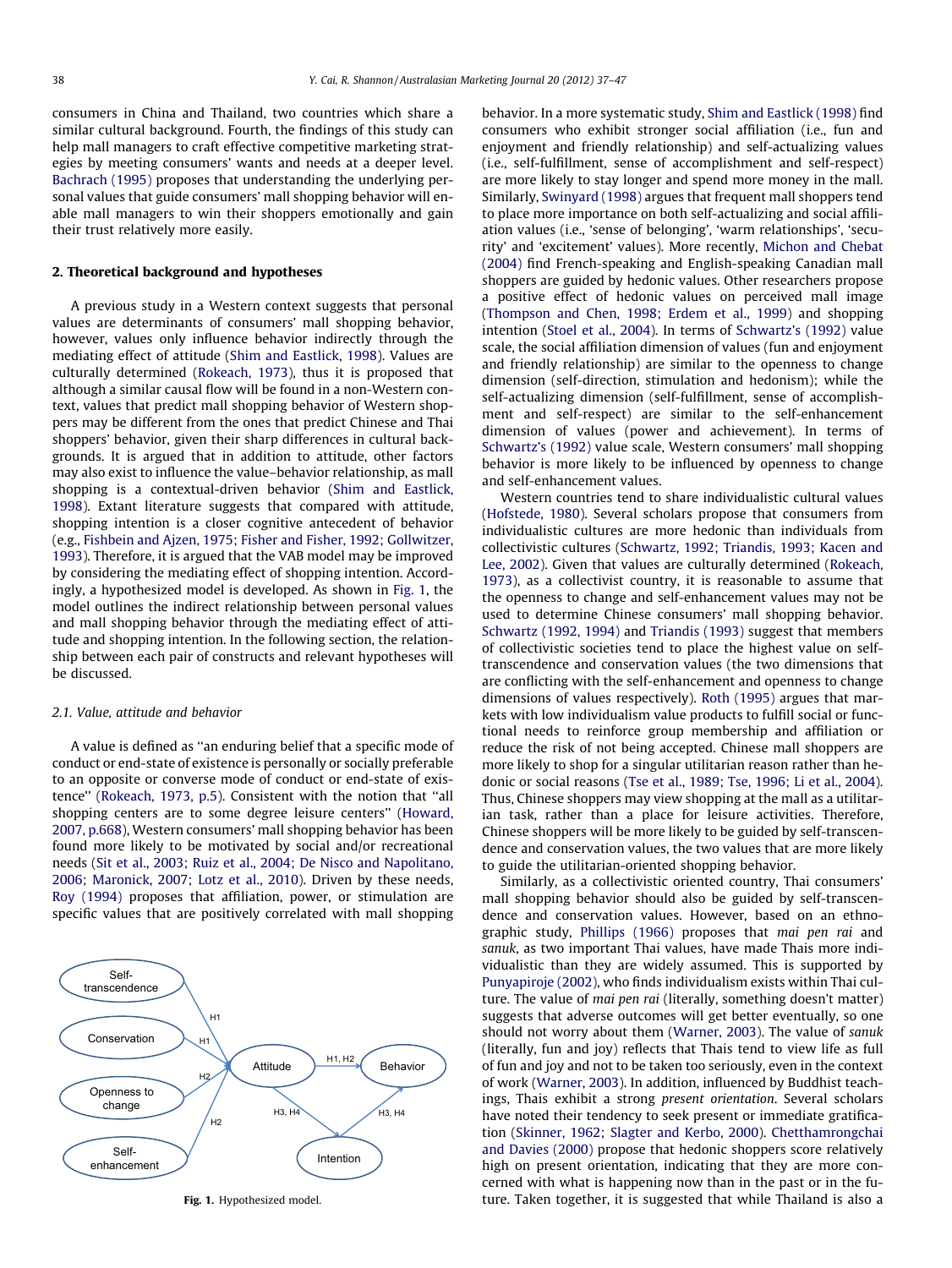consumers in China and Thailand, two countries which share a similar cultural background. Fourth, the findings of this study can help mall managers to craft effective competitive marketing strategies by meeting consumers' wants and needs at a deeper level. [Bachrach \(1995\)](#page--1-0) proposes that understanding the underlying personal values that guide consumers' mall shopping behavior will enable mall managers to win their shoppers emotionally and gain their trust relatively more easily.

#### 2. Theoretical background and hypotheses

A previous study in a Western context suggests that personal values are determinants of consumers' mall shopping behavior, however, values only influence behavior indirectly through the mediating effect of attitude [\(Shim and Eastlick, 1998](#page--1-0)). Values are culturally determined ([Rokeach, 1973](#page--1-0)), thus it is proposed that although a similar causal flow will be found in a non-Western context, values that predict mall shopping behavior of Western shoppers may be different from the ones that predict Chinese and Thai shoppers' behavior, given their sharp differences in cultural backgrounds. It is argued that in addition to attitude, other factors may also exist to influence the value–behavior relationship, as mall shopping is a contextual-driven behavior ([Shim and Eastlick,](#page--1-0) [1998\)](#page--1-0). Extant literature suggests that compared with attitude, shopping intention is a closer cognitive antecedent of behavior (e.g., [Fishbein and Ajzen, 1975; Fisher and Fisher, 1992; Gollwitzer,](#page--1-0) [1993\)](#page--1-0). Therefore, it is argued that the VAB model may be improved by considering the mediating effect of shopping intention. Accordingly, a hypothesized model is developed. As shown in Fig. 1, the model outlines the indirect relationship between personal values and mall shopping behavior through the mediating effect of attitude and shopping intention. In the following section, the relationship between each pair of constructs and relevant hypotheses will be discussed.

#### 2.1. Value, attitude and behavior

A value is defined as ''an enduring belief that a specific mode of conduct or end-state of existence is personally or socially preferable to an opposite or converse mode of conduct or end-state of existence'' [\(Rokeach, 1973, p.5](#page--1-0)). Consistent with the notion that ''all shopping centers are to some degree leisure centers'' ([Howard,](#page--1-0) [2007, p.668](#page--1-0)), Western consumers' mall shopping behavior has been found more likely to be motivated by social and/or recreational needs [\(Sit et al., 2003; Ruiz et al., 2004; De Nisco and Napolitano,](#page--1-0) [2006; Maronick, 2007; Lotz et al., 2010\)](#page--1-0). Driven by these needs, [Roy \(1994\)](#page--1-0) proposes that affiliation, power, or stimulation are specific values that are positively correlated with mall shopping



Fig. 1. Hypothesized model.

behavior. In a more systematic study, [Shim and Eastlick \(1998\)](#page--1-0) find consumers who exhibit stronger social affiliation (i.e., fun and enjoyment and friendly relationship) and self-actualizing values (i.e., self-fulfillment, sense of accomplishment and self-respect) are more likely to stay longer and spend more money in the mall. Similarly, [Swinyard \(1998\)](#page--1-0) argues that frequent mall shoppers tend to place more importance on both self-actualizing and social affiliation values (i.e., 'sense of belonging', 'warm relationships', 'security' and 'excitement' values). More recently, [Michon and Chebat](#page--1-0) [\(2004\)](#page--1-0) find French-speaking and English-speaking Canadian mall shoppers are guided by hedonic values. Other researchers propose a positive effect of hedonic values on perceived mall image ([Thompson and Chen, 1998; Erdem et al., 1999\)](#page--1-0) and shopping intention ([Stoel et al., 2004](#page--1-0)). In terms of [Schwartz's \(1992\)](#page--1-0) value scale, the social affiliation dimension of values (fun and enjoyment and friendly relationship) are similar to the openness to change dimension (self-direction, stimulation and hedonism); while the self-actualizing dimension (self-fulfillment, sense of accomplishment and self-respect) are similar to the self-enhancement dimension of values (power and achievement). In terms of [Schwartz's \(1992\)](#page--1-0) value scale, Western consumers' mall shopping behavior is more likely to be influenced by openness to change and self-enhancement values.

Western countries tend to share individualistic cultural values ([Hofstede, 1980\)](#page--1-0). Several scholars propose that consumers from individualistic cultures are more hedonic than individuals from collectivistic cultures [\(Schwartz, 1992; Triandis, 1993; Kacen and](#page--1-0) [Lee, 2002\)](#page--1-0). Given that values are culturally determined [\(Rokeach,](#page--1-0) [1973\)](#page--1-0), as a collectivist country, it is reasonable to assume that the openness to change and self-enhancement values may not be used to determine Chinese consumers' mall shopping behavior. [Schwartz \(1992, 1994\)](#page--1-0) and [Triandis \(1993\)](#page--1-0) suggest that members of collectivistic societies tend to place the highest value on selftranscendence and conservation values (the two dimensions that are conflicting with the self-enhancement and openness to change dimensions of values respectively). [Roth \(1995\)](#page--1-0) argues that markets with low individualism value products to fulfill social or functional needs to reinforce group membership and affiliation or reduce the risk of not being accepted. Chinese mall shoppers are more likely to shop for a singular utilitarian reason rather than hedonic or social reasons [\(Tse et al., 1989; Tse, 1996; Li et al., 2004\)](#page--1-0). Thus, Chinese shoppers may view shopping at the mall as a utilitarian task, rather than a place for leisure activities. Therefore, Chinese shoppers will be more likely to be guided by self-transcendence and conservation values, the two values that are more likely to guide the utilitarian-oriented shopping behavior.

Similarly, as a collectivistic oriented country, Thai consumers' mall shopping behavior should also be guided by self-transcendence and conservation values. However, based on an ethnographic study, [Phillips \(1966\)](#page--1-0) proposes that mai pen rai and sanuk, as two important Thai values, have made Thais more individualistic than they are widely assumed. This is supported by [Punyapiroje \(2002\),](#page--1-0) who finds individualism exists within Thai culture. The value of mai pen rai (literally, something doesn't matter) suggests that adverse outcomes will get better eventually, so one should not worry about them [\(Warner, 2003\)](#page--1-0). The value of sanuk (literally, fun and joy) reflects that Thais tend to view life as full of fun and joy and not to be taken too seriously, even in the context of work ([Warner, 2003](#page--1-0)). In addition, influenced by Buddhist teachings, Thais exhibit a strong present orientation. Several scholars have noted their tendency to seek present or immediate gratification [\(Skinner, 1962; Slagter and Kerbo, 2000\)](#page--1-0). [Chetthamrongchai](#page--1-0) [and Davies \(2000\)](#page--1-0) propose that hedonic shoppers score relatively high on present orientation, indicating that they are more concerned with what is happening now than in the past or in the future. Taken together, it is suggested that while Thailand is also a